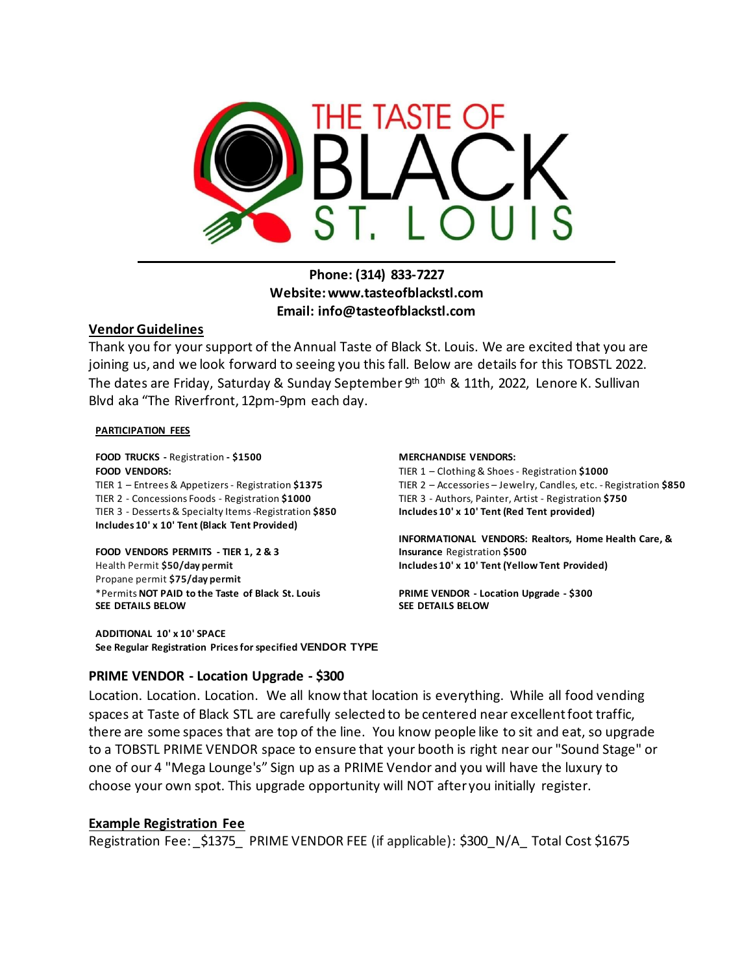

#### **Phone: (314) 833-7227 Website:www.tasteofblackstl.com Email: info@tasteofblackstl.com**

#### **Vendor Guidelines**

Thank you for your support of the Annual Taste of Black St. Louis. We are excited that you are joining us, and we look forward to seeing you this fall. Below are details for this TOBSTL 2022. The dates are Friday, Saturday & Sunday September 9<sup>th</sup> 10<sup>th</sup> & 11th, 2022, Lenore K. Sullivan Blvd aka "The Riverfront, 12pm-9pm each day.

#### **PARTICIPATION FEES**

**FOOD TRUCKS -** Registration **- \$1500 MERCHANDISE VENDORS: FOOD VENDORS:** TIER 1 – Entrees& Appetizers- Registration **\$1375** TIER 2 - Concessions Foods - Registration **\$1000** TIER 3 - Desserts & Specialty Items -Registration **\$850 Includes 10' x 10' Tent (Black Tent Provided)**

**FOOD VENDORS PERMITS - TIER 1, 2 & 3**  Health Permit **\$50/day permit** Propane permit **\$75/day permit** \*Permits **NOT PAID to the Taste of Black St. Louis SEE DETAILS BELOW** 

**ADDITIONAL 10' x 10' SPACE See Regular Registration Prices for specified VENDOR TYPE**

TIER 1 – Clothing & Shoes - Registration **\$1000** TIER 2 – Accessories – Jewelry, Candles, etc. - Registration **\$850** TIER 3 - Authors, Painter, Artist - Registration **\$750 Includes 10' x 10' Tent (Red Tent provided)**

**INFORMATIONAL VENDORS: Realtors, Home Health Care, & Insurance** Registration **\$500 Includes 10' x 10' Tent (Yellow Tent Provided)**

**PRIME VENDOR - Location Upgrade - \$300 SEE DETAILS BELOW** 

#### **PRIME VENDOR - Location Upgrade - \$300**

Location. Location. Location. We all know that location is everything. While all food vending spaces at Taste of Black STL are carefully selected to be centered near excellent foot traffic, there are some spaces that are top of the line. You know people like to sit and eat, so upgrade to a TOBSTL PRIME VENDOR space to ensure that your booth is right near our "Sound Stage" or one of our 4 "Mega Lounge's" Sign up as a PRIME Vendor and you will have the luxury to choose your own spot. This upgrade opportunity will NOT after you initially register.

#### **Example Registration Fee**

Registration Fee: \_\$1375\_ PRIME VENDOR FEE (if applicable): \$300 N/A Total Cost \$1675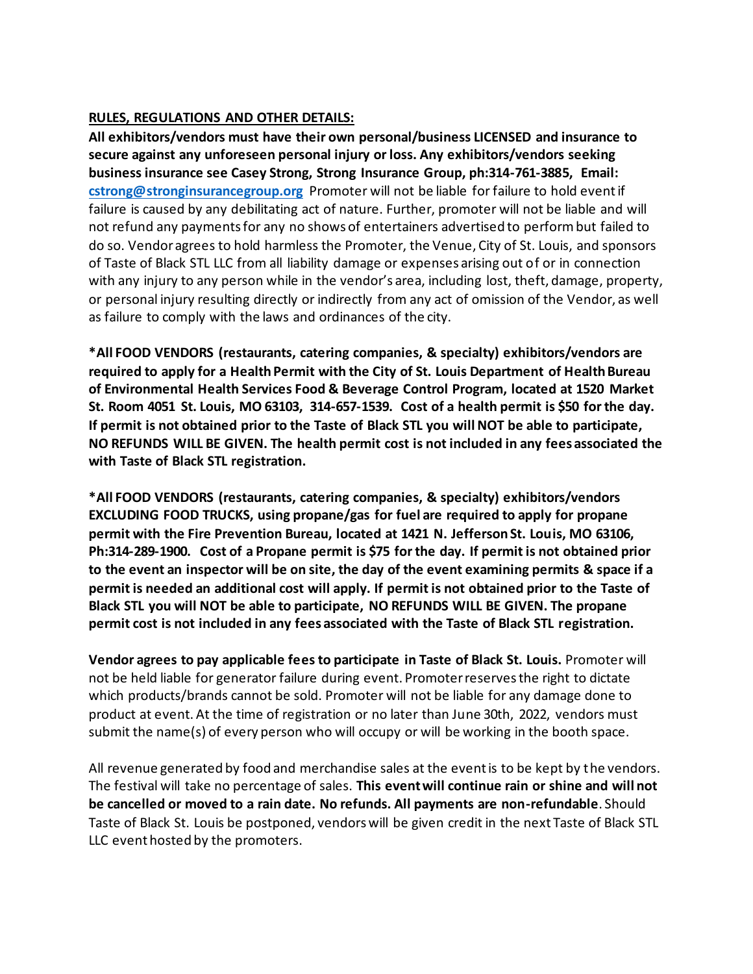#### **RULES, REGULATIONS AND OTHER DETAILS:**

**All exhibitors/vendors must have their own personal/business LICENSED and insurance to secure against any unforeseen personal injury or loss. Any exhibitors/vendors seeking business insurance see Casey Strong, Strong Insurance Group, ph:314-761-3885, Email: [cstrong@stronginsurancegroup.org](mailto:cstrong@stronginsurancegroup.org)** Promoter will not be liable for failure to hold event if failure is caused by any debilitating act of nature. Further, promoter will not be liable and will not refund any payments for any no shows of entertainers advertised to perform but failed to do so. Vendor agrees to hold harmless the Promoter, the Venue, City of St. Louis, and sponsors of Taste of Black STL LLC from all liability damage or expenses arising out of or in connection with any injury to any person while in the vendor's area, including lost, theft, damage, property, or personal injury resulting directly or indirectly from any act of omission of the Vendor, as well as failure to comply with the laws and ordinances of the city.

**\*All FOOD VENDORS (restaurants, catering companies, & specialty) exhibitors/vendors are required to apply for a Health Permit with the City of St. Louis Department of Health Bureau of Environmental Health Services Food & Beverage Control Program, located at 1520 Market St. Room 4051 St. Louis, MO 63103, 314-657-1539. Cost of a health permit is \$50 for the day. If permit is not obtained prior to the Taste of Black STL you will NOT be able to participate, NO REFUNDS WILL BE GIVEN. The health permit cost is not included in any fees associated the with Taste of Black STL registration.**

**\*All FOOD VENDORS (restaurants, catering companies, & specialty) exhibitors/vendors EXCLUDING FOOD TRUCKS, using propane/gas for fuel are required to apply for propane permit with the Fire Prevention Bureau, located at 1421 N. Jefferson St. Louis, MO 63106, Ph:314-289-1900. Cost of a Propane permit is \$75 for the day. If permit is not obtained prior to the event an inspector will be on site, the day of the event examining permits & space if a permit is needed an additional cost will apply. If permit is not obtained prior to the Taste of Black STL you will NOT be able to participate, NO REFUNDS WILL BE GIVEN. The propane permit cost is not included in any fees associated with the Taste of Black STL registration.**

**Vendor agrees to pay applicable fees to participate in Taste of Black St. Louis.** Promoter will not be held liable for generator failure during event. Promoter reserves the right to dictate which products/brands cannot be sold. Promoter will not be liable for any damage done to product at event. At the time of registration or no later than June 30th, 2022, vendors must submit the name(s) of every person who will occupy or will be working in the booth space.

All revenue generated by food and merchandise sales at the event is to be kept by the vendors. The festival will take no percentage of sales. **This event will continue rain or shine and will not be cancelled or moved to a rain date. No refunds. All payments are non-refundable**. Should Taste of Black St. Louis be postponed, vendors will be given credit in the next Taste of Black STL LLC event hosted by the promoters.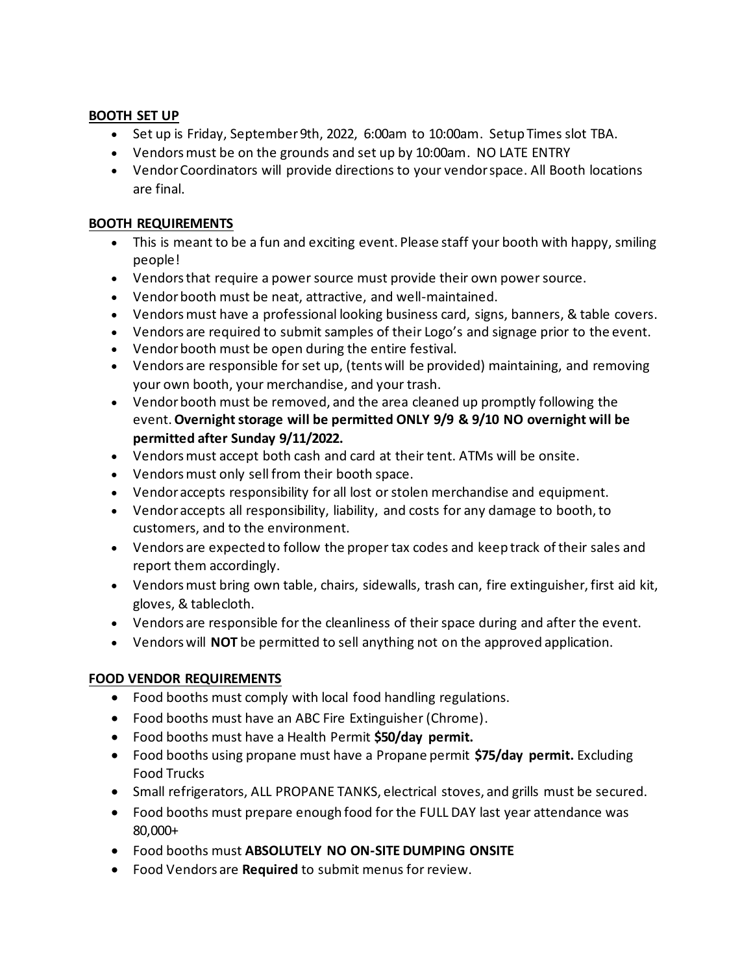#### **BOOTH SET UP**

- Set up is Friday, September 9th, 2022, 6:00am to 10:00am. Setup Times slot TBA.
- Vendors must be on the grounds and set up by 10:00am. NO LATE ENTRY
- Vendor Coordinators will provide directions to your vendor space. All Booth locations are final.

#### **BOOTH REQUIREMENTS**

- This is meant to be a fun and exciting event. Please staff your booth with happy, smiling people!
- Vendors that require a power source must provide their own power source.
- Vendor booth must be neat, attractive, and well-maintained.
- Vendors must have a professional looking business card, signs, banners, & table covers.
- Vendors are required to submit samples of their Logo's and signage prior to the event.
- Vendor booth must be open during the entire festival.
- Vendors are responsible for set up, (tents will be provided) maintaining, and removing your own booth, your merchandise, and your trash.
- Vendor booth must be removed, and the area cleaned up promptly following the event. **Overnight storage will be permitted ONLY 9/9 & 9/10 NO overnight will be permitted after Sunday 9/11/2022.**
- Vendors must accept both cash and card at their tent. ATMs will be onsite.
- Vendors must only sell from their booth space.
- Vendor accepts responsibility for all lost or stolen merchandise and equipment.
- Vendor accepts all responsibility, liability, and costs for any damage to booth, to customers, and to the environment.
- Vendors are expected to follow the proper tax codes and keep track of their sales and report them accordingly.
- Vendors must bring own table, chairs, sidewalls, trash can, fire extinguisher, first aid kit, gloves, & tablecloth.
- Vendors are responsible for the cleanliness of their space during and after the event.
- Vendors will **NOT** be permitted to sell anything not on the approved application.

#### **FOOD VENDOR REQUIREMENTS**

- Food booths must comply with local food handling regulations.
- Food booths must have an ABC Fire Extinguisher (Chrome).
- Food booths must have a Health Permit **\$50/day permit.**
- Food booths using propane must have a Propane permit **\$75/day permit.** Excluding Food Trucks
- Small refrigerators, ALL PROPANE TANKS, electrical stoves, and grills must be secured.
- Food booths must prepare enough food for the FULL DAY last year attendance was 80,000+
- Food booths must **ABSOLUTELY NO ON-SITE DUMPING ONSITE**
- Food Vendors are **Required** to submit menus for review.